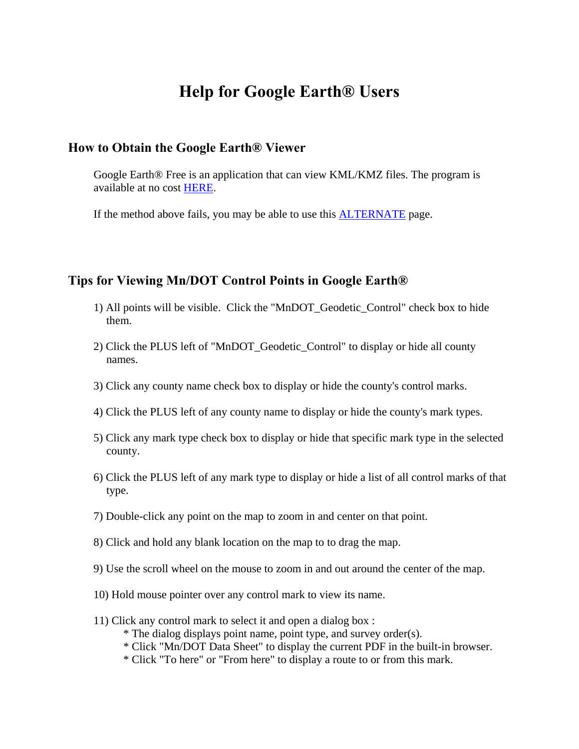# **Help for Google Earth® Users**

#### **How to Obtain the Google Earth® Viewer**

Google Earth® Free is an application that can view KML/KMZ files. The program is available at no cost [HERE.](http://earth.google.com/)

If the method above fails, you may be able to use this [ALTERNATE](http://www.google.com/support/pack/bin/answer.py?hl=en&answer=32610) page.

### **Tips for Viewing Mn/DOT Control Points in Google Earth®**

- 1) All points will be visible. Click the "MnDOT\_Geodetic\_Control" check box to hide them.
- 2) Click the PLUS left of "MnDOT\_Geodetic\_Control" to display or hide all county names.
- 3) Click any county name check box to display or hide the county's control marks.
- 4) Click the PLUS left of any county name to display or hide the county's mark types.
- 5) Click any mark type check box to display or hide that specific mark type in the selected county.
- 6) Click the PLUS left of any mark type to display or hide a list of all control marks of that type.
- 7) Double-click any point on the map to zoom in and center on that point.
- 8) Click and hold any blank location on the map to to drag the map.
- 9) Use the scroll wheel on the mouse to zoom in and out around the center of the map.
- 10) Hold mouse pointer over any control mark to view its name.
- 11) Click any control mark to select it and open a dialog box :
	- \* The dialog displays point name, point type, and survey order(s).
	- \* Click "Mn/DOT Data Sheet" to display the current PDF in the built-in browser.
	- \* Click "To here" or "From here" to display a route to or from this mark.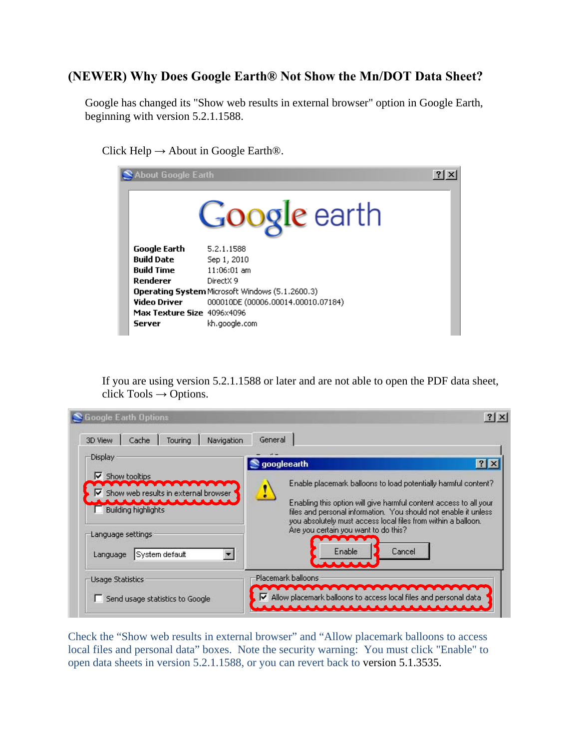## **(NEWER) Why Does Google Earth® Not Show the Mn/DOT Data Sheet?**

Google has changed its "Show web results in external browser" option in Google Earth, beginning with version 5.2.1.1588.

Click Help  $\rightarrow$  About in Google Earth<sup>®</sup>.

| About Google Earth<br>2                                |                                    |  |  |  |  |
|--------------------------------------------------------|------------------------------------|--|--|--|--|
| Google earth                                           |                                    |  |  |  |  |
| Google Earth                                           | 5.2.1.1588                         |  |  |  |  |
| <b>Build Date</b>                                      | Sep 1, 2010                        |  |  |  |  |
| <b>Build Time</b>                                      | $11:06:01$ am                      |  |  |  |  |
| Renderer                                               | DirectX 9                          |  |  |  |  |
| <b>Operating System Microsoft Windows (5.1.2600.3)</b> |                                    |  |  |  |  |
| <b>Video Driver</b>                                    | 000010DE (00006.00014.00010.07184) |  |  |  |  |
| Max Texture Size 4096x4096                             |                                    |  |  |  |  |
| Server                                                 | kh.google.com                      |  |  |  |  |

If you are using version 5.2.1.1588 or later and are not able to open the PDF data sheet, click Tools **→** Options.

| Display                                                                                                                                                                | googleearth                                                                                                                                                                                                                                                                                                                                         | $ ?  \times$ |
|------------------------------------------------------------------------------------------------------------------------------------------------------------------------|-----------------------------------------------------------------------------------------------------------------------------------------------------------------------------------------------------------------------------------------------------------------------------------------------------------------------------------------------------|--------------|
| $\triangleright$ Show tooltips<br>$\blacktriangleright$ Show web results in external browser<br>Building highlights<br>Language settings<br>System default<br>Language | Enable placemark balloons to load potentially harmful content?<br>Enabling this option will give harmful content access to all your<br>files and personal information. You should not enable it unless<br>you absolutely must access local files from within a balloon.<br>Are you certain you want to do this?<br>Enable<br>Cancel<br><b>AAAAA</b> |              |
| Usage Statistics                                                                                                                                                       | Placemark balloons                                                                                                                                                                                                                                                                                                                                  |              |

Check the "Show web results in external browser" and "Allow placemark balloons to access local files and personal data" boxes. Note the security warning: You must click "Enable" to open data sheets in version 5.2.1.1588, or you can revert back to version 5.1.3535.